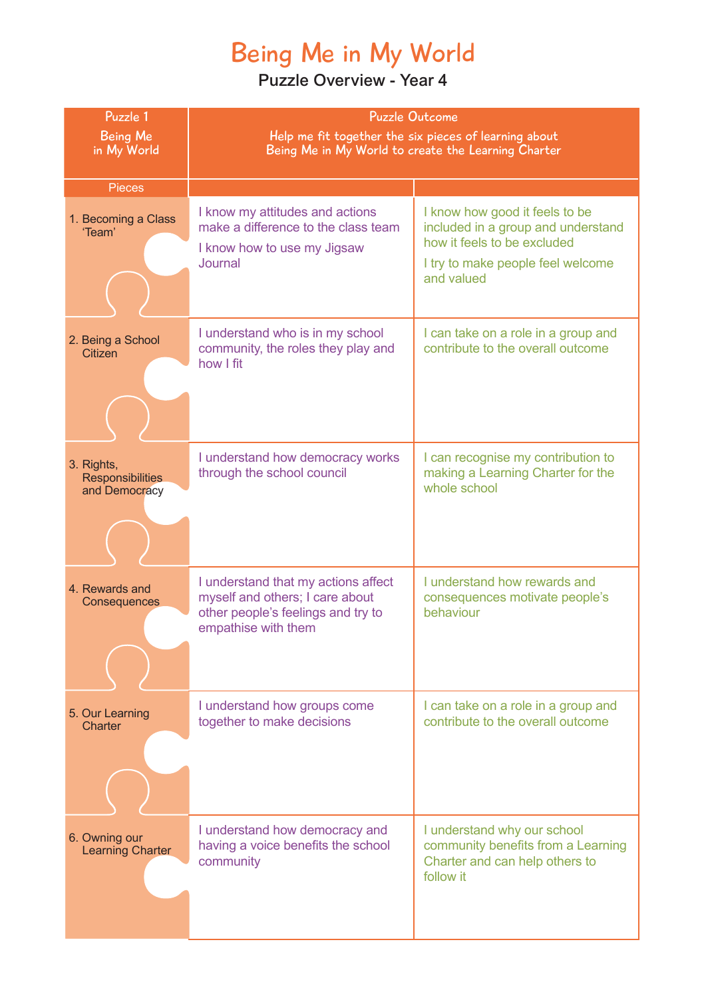## Being Me in My World

| Puzzle 1<br><b>Being Me</b><br>in My World             | <b>Puzzle Outcome</b><br>Help me fit together the six pieces of learning about<br>Being Me in My World to create the Learning Charter |                                                                                                                                                        |
|--------------------------------------------------------|---------------------------------------------------------------------------------------------------------------------------------------|--------------------------------------------------------------------------------------------------------------------------------------------------------|
| <b>Pieces</b>                                          |                                                                                                                                       |                                                                                                                                                        |
| 1. Becoming a Class<br>'Team'                          | I know my attitudes and actions<br>make a difference to the class team<br>I know how to use my Jigsaw<br>Journal                      | I know how good it feels to be<br>included in a group and understand<br>how it feels to be excluded<br>I try to make people feel welcome<br>and valued |
| 2. Being a School<br>Citizen                           | I understand who is in my school<br>community, the roles they play and<br>how I fit                                                   | I can take on a role in a group and<br>contribute to the overall outcome                                                                               |
| 3. Rights,<br><b>Responsibilities</b><br>and Democracy | I understand how democracy works<br>through the school council                                                                        | I can recognise my contribution to<br>making a Learning Charter for the<br>whole school                                                                |
| 4. Rewards and<br>Consequences                         | I understand that my actions affect<br>myself and others; I care about<br>other people's feelings and try to<br>empathise with them   | I understand how rewards and<br>consequences motivate people's<br>behaviour                                                                            |
| 5. Our Learning<br>Charter                             | I understand how groups come<br>together to make decisions                                                                            | I can take on a role in a group and<br>contribute to the overall outcome                                                                               |
| 6. Owning our<br><b>Learning Charter</b>               | I understand how democracy and<br>having a voice benefits the school<br>community                                                     | I understand why our school<br>community benefits from a Learning<br>Charter and can help others to<br>follow it                                       |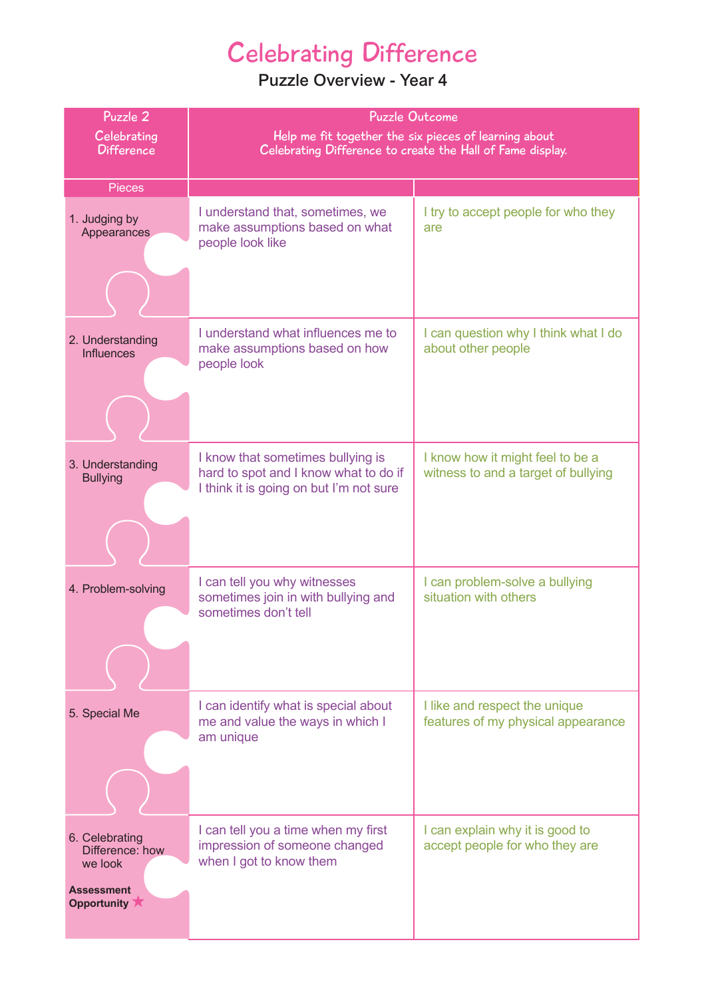### Celebrating Difference

| Puzzle 2                                                                         | <b>Puzzle Outcome</b>                                                                                                 |                                                                         |
|----------------------------------------------------------------------------------|-----------------------------------------------------------------------------------------------------------------------|-------------------------------------------------------------------------|
| Celebrating<br><b>Difference</b>                                                 | Help me fit together the six pieces of learning about<br>Celebrating Difference to create the Hall of Fame display.   |                                                                         |
|                                                                                  |                                                                                                                       |                                                                         |
| <b>Pieces</b>                                                                    |                                                                                                                       |                                                                         |
| 1. Judging by<br>Appearances                                                     | I understand that, sometimes, we<br>make assumptions based on what<br>people look like                                | I try to accept people for who they<br>are                              |
|                                                                                  |                                                                                                                       |                                                                         |
| 2. Understanding<br><b>Influences</b>                                            | I understand what influences me to<br>make assumptions based on how<br>people look                                    | I can question why I think what I do<br>about other people              |
|                                                                                  |                                                                                                                       |                                                                         |
| 3. Understanding<br><b>Bullying</b>                                              | I know that sometimes bullying is<br>hard to spot and I know what to do if<br>I think it is going on but I'm not sure | I know how it might feel to be a<br>witness to and a target of bullying |
|                                                                                  |                                                                                                                       |                                                                         |
| 4. Problem-solving                                                               | I can tell you why witnesses<br>sometimes join in with bullying and<br>sometimes don't tell                           | I can problem-solve a bullying<br>situation with others                 |
|                                                                                  |                                                                                                                       |                                                                         |
| 5. Special Me                                                                    | I can identify what is special about<br>me and value the ways in which I<br>am unique                                 | I like and respect the unique<br>features of my physical appearance     |
|                                                                                  |                                                                                                                       |                                                                         |
| 6. Celebrating<br>Difference: how<br>we look<br><b>Assessment</b><br>Opportunity | I can tell you a time when my first<br>impression of someone changed<br>when I got to know them                       | I can explain why it is good to<br>accept people for who they are       |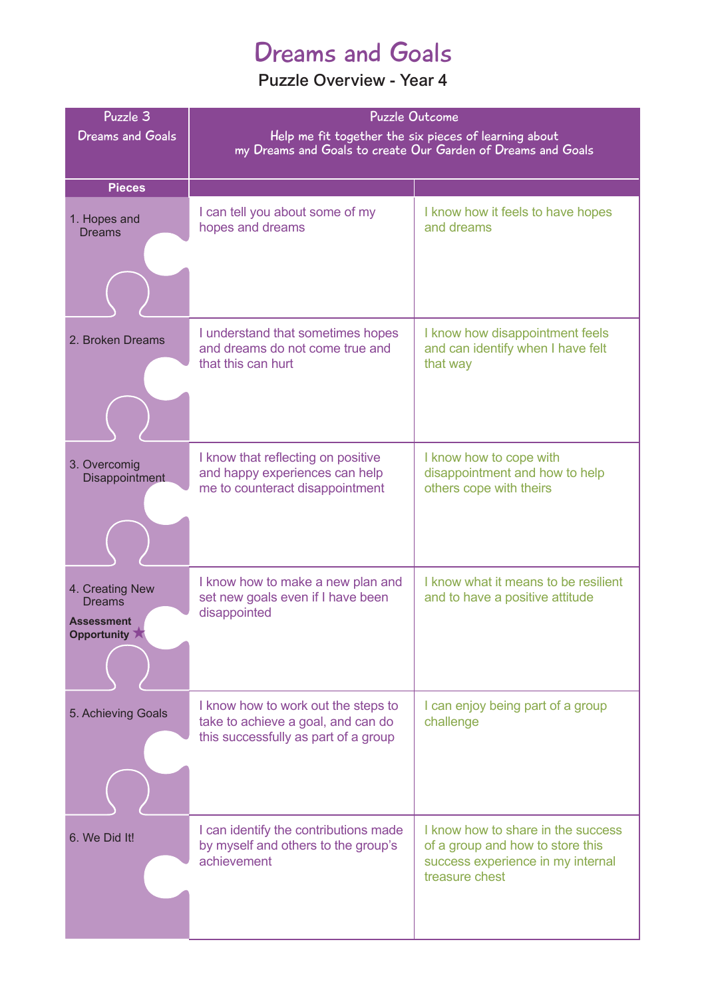### Dreams and Goals

| Puzzle 3                                                                            | <b>Puzzle Outcome</b>                                                                                                 |                                                                                                                               |
|-------------------------------------------------------------------------------------|-----------------------------------------------------------------------------------------------------------------------|-------------------------------------------------------------------------------------------------------------------------------|
| <b>Dreams and Goals</b>                                                             | Help me fit together the six pieces of learning about<br>my Dreams and Goals to create Our Garden of Dreams and Goals |                                                                                                                               |
|                                                                                     |                                                                                                                       |                                                                                                                               |
| <b>Pieces</b>                                                                       |                                                                                                                       |                                                                                                                               |
| 1. Hopes and<br><b>Dreams</b>                                                       | I can tell you about some of my<br>hopes and dreams                                                                   | I know how it feels to have hopes<br>and dreams                                                                               |
|                                                                                     |                                                                                                                       |                                                                                                                               |
| 2. Broken Dreams                                                                    | I understand that sometimes hopes<br>and dreams do not come true and<br>that this can hurt                            | I know how disappointment feels<br>and can identify when I have felt<br>that way                                              |
| 3. Overcomig<br>Disappointment                                                      | I know that reflecting on positive<br>and happy experiences can help<br>me to counteract disappointment               | I know how to cope with<br>disappointment and how to help<br>others cope with theirs                                          |
| 4. Creating New<br><b>Dreams</b><br>Assessment<br>Opportunity $\blacktriangleright$ | I know how to make a new plan and<br>set new goals even if I have been<br>disappointed                                | I know what it means to be resilient<br>and to have a positive attitude                                                       |
| 5. Achieving Goals                                                                  | I know how to work out the steps to<br>take to achieve a goal, and can do<br>this successfully as part of a group     | I can enjoy being part of a group<br>challenge                                                                                |
| 6. We Did It!                                                                       | I can identify the contributions made<br>by myself and others to the group's<br>achievement                           | I know how to share in the success<br>of a group and how to store this<br>success experience in my internal<br>treasure chest |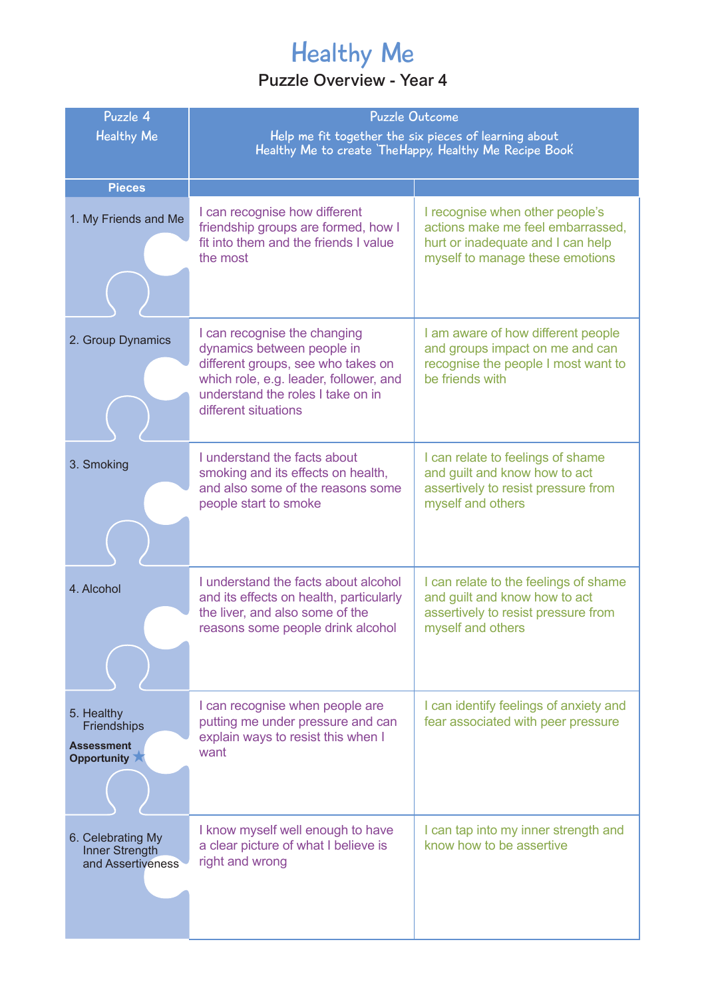## Healthy Me

| Puzzle 4<br><b>Healthy Me</b>                                 | <b>Puzzle Outcome</b><br>Help me fit together the six pieces of learning about<br>Healthy Me to create TheHappy, Healthy Me Recipe Book                                                                 |                                                                                                                                              |
|---------------------------------------------------------------|---------------------------------------------------------------------------------------------------------------------------------------------------------------------------------------------------------|----------------------------------------------------------------------------------------------------------------------------------------------|
| <b>Pieces</b>                                                 |                                                                                                                                                                                                         |                                                                                                                                              |
| 1. My Friends and Me                                          | I can recognise how different<br>friendship groups are formed, how I<br>fit into them and the friends I value<br>the most                                                                               | I recognise when other people's<br>actions make me feel embarrassed,<br>hurt or inadequate and I can help<br>myself to manage these emotions |
| 2. Group Dynamics                                             | I can recognise the changing<br>dynamics between people in<br>different groups, see who takes on<br>which role, e.g. leader, follower, and<br>understand the roles I take on in<br>different situations | I am aware of how different people<br>and groups impact on me and can<br>recognise the people I most want to<br>be friends with              |
| 3. Smoking                                                    | I understand the facts about<br>smoking and its effects on health,<br>and also some of the reasons some<br>people start to smoke                                                                        | I can relate to feelings of shame<br>and guilt and know how to act<br>assertively to resist pressure from<br>myself and others               |
| 4. Alcohol                                                    | I understand the facts about alcohol<br>and its effects on health, particularly<br>the liver, and also some of the<br>reasons some people drink alcohol                                                 | I can relate to the feelings of shame<br>and guilt and know how to act<br>assertively to resist pressure from<br>myself and others           |
| 5. Healthy<br>Friendships<br><b>Assessment</b><br>Opportunity | I can recognise when people are<br>putting me under pressure and can<br>explain ways to resist this when I<br>want                                                                                      | I can identify feelings of anxiety and<br>fear associated with peer pressure                                                                 |
| 6. Celebrating My<br>Inner Strength<br>and Assertiveness      | I know myself well enough to have<br>a clear picture of what I believe is<br>right and wrong                                                                                                            | I can tap into my inner strength and<br>know how to be assertive                                                                             |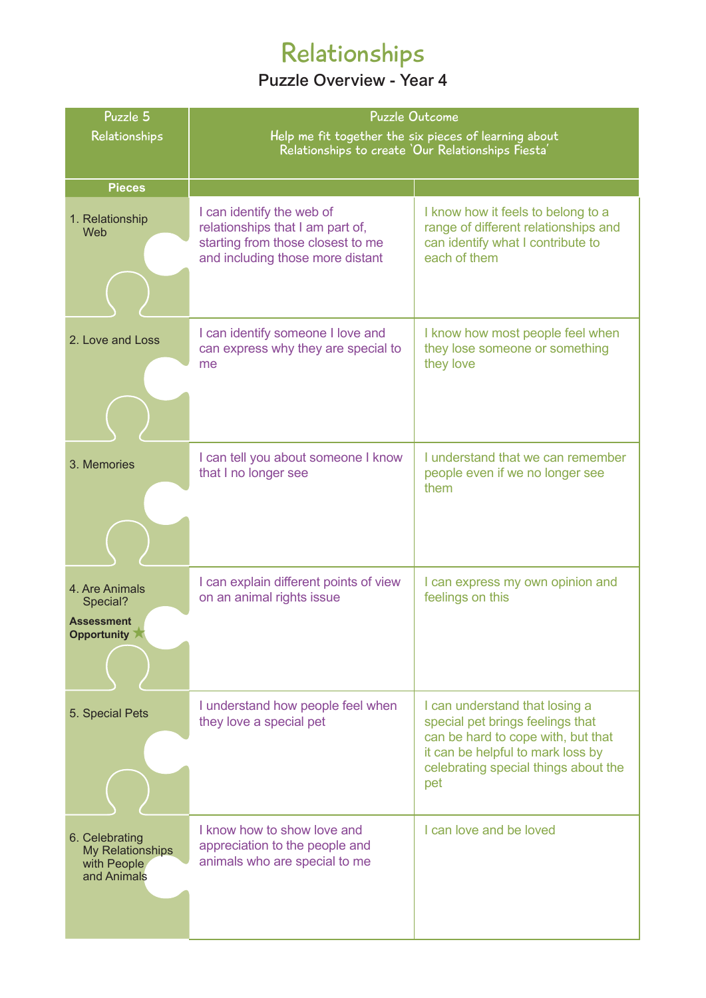## Relationships

| Puzzle 5                                                         | <b>Puzzle Outcome</b>                                                                                                                  |                                                                                                                                                                                              |
|------------------------------------------------------------------|----------------------------------------------------------------------------------------------------------------------------------------|----------------------------------------------------------------------------------------------------------------------------------------------------------------------------------------------|
| Relationships                                                    | Help me fit together the six pieces of learning about<br>Relationships to create 'Our Relationships Fiesta'                            |                                                                                                                                                                                              |
|                                                                  |                                                                                                                                        |                                                                                                                                                                                              |
| <b>Pieces</b>                                                    |                                                                                                                                        |                                                                                                                                                                                              |
| 1. Relationship<br>Web                                           | I can identify the web of<br>relationships that I am part of,<br>starting from those closest to me<br>and including those more distant | I know how it feels to belong to a<br>range of different relationships and<br>can identify what I contribute to<br>each of them                                                              |
|                                                                  |                                                                                                                                        |                                                                                                                                                                                              |
| 2. Love and Loss                                                 | I can identify someone I love and<br>can express why they are special to<br>me                                                         | I know how most people feel when<br>they lose someone or something<br>they love                                                                                                              |
|                                                                  |                                                                                                                                        |                                                                                                                                                                                              |
| 3. Memories                                                      | I can tell you about someone I know<br>that I no longer see                                                                            | I understand that we can remember<br>people even if we no longer see<br>them                                                                                                                 |
|                                                                  |                                                                                                                                        |                                                                                                                                                                                              |
| 4. Are Animals<br>Special?<br><b>Assessment</b><br>Opportunity   | I can explain different points of view<br>on an animal rights issue                                                                    | I can express my own opinion and<br>feelings on this                                                                                                                                         |
| 5. Special Pets                                                  | I understand how people feel when<br>they love a special pet                                                                           | I can understand that losing a<br>special pet brings feelings that<br>can be hard to cope with, but that<br>it can be helpful to mark loss by<br>celebrating special things about the<br>pet |
| 6. Celebrating<br>My Relationships<br>with People<br>and Animals | I know how to show love and<br>appreciation to the people and<br>animals who are special to me                                         | I can love and be loved                                                                                                                                                                      |